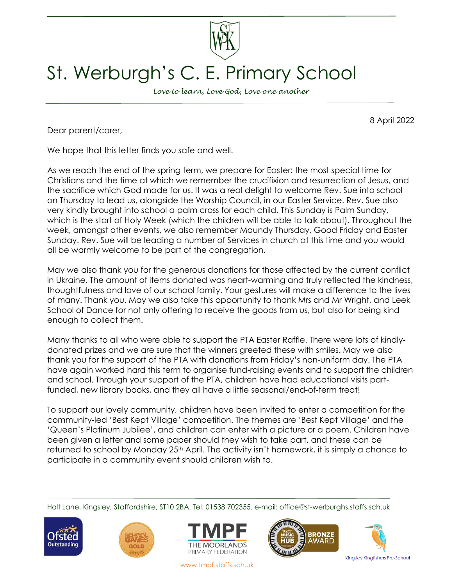

## St. Werburgh's C. E. Primary School

*Love to learn, Love God, Love one another*

8 April 2022

Dear parent/carer,

We hope that this letter finds you safe and well.

As we reach the end of the spring term, we prepare for Easter: the most special time for Christians and the time at which we remember the crucifixion and resurrection of Jesus, and the sacrifice which God made for us. It was a real delight to welcome Rev. Sue into school on Thursday to lead us, alongside the Worship Council, in our Easter Service. Rev. Sue also very kindly brought into school a palm cross for each child. This Sunday is Palm Sunday, which is the start of Holy Week (which the children will be able to talk about). Throughout the week, amongst other events, we also remember Maundy Thursday, Good Friday and Easter Sunday. Rev. Sue will be leading a number of Services in church at this time and you would all be warmly welcome to be part of the congregation.

May we also thank you for the generous donations for those affected by the current conflict in Ukraine. The amount of items donated was heart-warming and truly reflected the kindness, thoughtfulness and love of our school family. Your gestures will make a difference to the lives of many. Thank you. May we also take this opportunity to thank Mrs and Mr Wright, and Leek School of Dance for not only offering to receive the goods from us, but also for being kind enough to collect them.

Many thanks to all who were able to support the PTA Easter Raffle. There were lots of kindlydonated prizes and we are sure that the winners greeted these with smiles. May we also thank you for the support of the PTA with donations from Friday's non-uniform day. The PTA have again worked hard this term to organise fund-raising events and to support the children and school. Through your support of the PTA, children have had educational visits partfunded, new library books, and they all have a little seasonal/end-of-term treat!

To support our lovely community, children have been invited to enter a competition for the community-led 'Best Kept Village' competition. The themes are 'Best Kept Village' and the 'Queen's Platinum Jubilee', and children can enter with a picture or a poem. Children have been given a letter and some paper should they wish to take part, and these can be returned to school by Monday 25<sup>th</sup> April. The activity isn't homework, it is simply a chance to participate in a community event should children wish to.

Holt Lane, Kingsley, Staffordshire, ST10 2BA. Tel: 01538 702355. e-mail: office@st-werburghs.staffs.sch.uk











www.tmpf.staffs.sch.uk